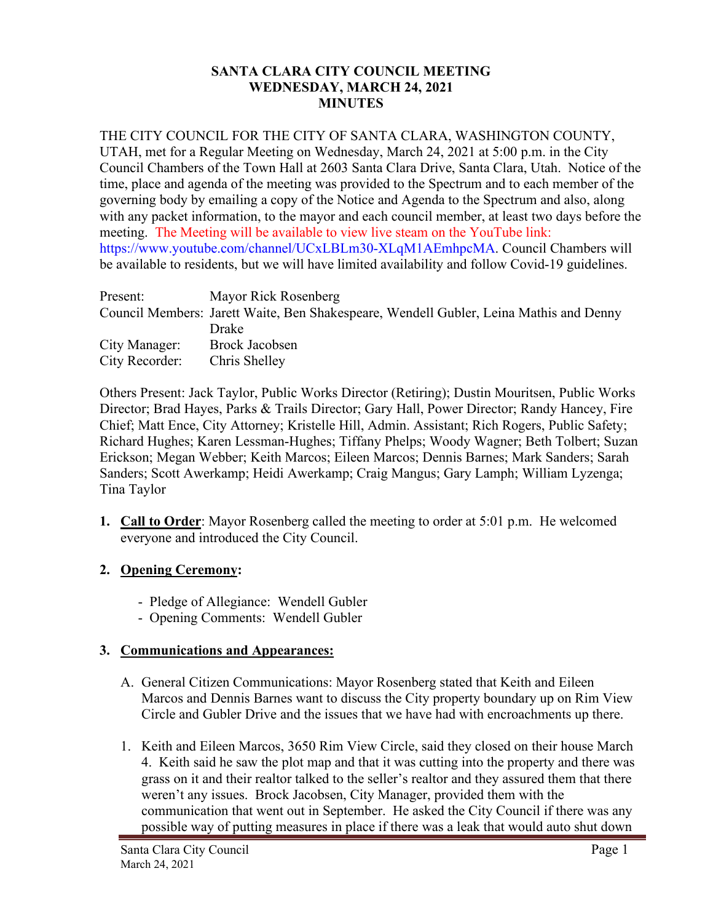#### **SANTA CLARA CITY COUNCIL MEETING WEDNESDAY, MARCH 24, 2021 MINUTES**

#### THE CITY COUNCIL FOR THE CITY OF SANTA CLARA, WASHINGTON COUNTY,

UTAH, met for a Regular Meeting on Wednesday, March 24, 2021 at 5:00 p.m. in the City Council Chambers of the Town Hall at 2603 Santa Clara Drive, Santa Clara, Utah. Notice of the time, place and agenda of the meeting was provided to the Spectrum and to each member of the governing body by emailing a copy of the Notice and Agenda to the Spectrum and also, along with any packet information, to the mayor and each council member, at least two days before the meeting. The Meeting will be available to view live steam on the YouTube link: https://www.youtube.com/channel/UCxLBLm30-XLqM1AEmhpcMA. Council Chambers will be available to residents, but we will have limited availability and follow Covid-19 guidelines.

| Present:       | Mayor Rick Rosenberg                                                                   |
|----------------|----------------------------------------------------------------------------------------|
|                | Council Members: Jarett Waite, Ben Shakespeare, Wendell Gubler, Leina Mathis and Denny |
|                | Drake                                                                                  |
| City Manager:  | <b>Brock Jacobsen</b>                                                                  |
| City Recorder: | Chris Shelley                                                                          |

Others Present: Jack Taylor, Public Works Director (Retiring); Dustin Mouritsen, Public Works Director; Brad Hayes, Parks & Trails Director; Gary Hall, Power Director; Randy Hancey, Fire Chief; Matt Ence, City Attorney; Kristelle Hill, Admin. Assistant; Rich Rogers, Public Safety; Richard Hughes; Karen Lessman-Hughes; Tiffany Phelps; Woody Wagner; Beth Tolbert; Suzan Erickson; Megan Webber; Keith Marcos; Eileen Marcos; Dennis Barnes; Mark Sanders; Sarah Sanders; Scott Awerkamp; Heidi Awerkamp; Craig Mangus; Gary Lamph; William Lyzenga; Tina Taylor

**1. Call to Order**: Mayor Rosenberg called the meeting to order at 5:01 p.m. He welcomed everyone and introduced the City Council.

# **2. Opening Ceremony:**

- Pledge of Allegiance: Wendell Gubler
- Opening Comments: Wendell Gubler

#### **3. Communications and Appearances:**

- A. General Citizen Communications: Mayor Rosenberg stated that Keith and Eileen Marcos and Dennis Barnes want to discuss the City property boundary up on Rim View Circle and Gubler Drive and the issues that we have had with encroachments up there.
- 1. Keith and Eileen Marcos, 3650 Rim View Circle, said they closed on their house March 4. Keith said he saw the plot map and that it was cutting into the property and there was grass on it and their realtor talked to the seller's realtor and they assured them that there weren't any issues. Brock Jacobsen, City Manager, provided them with the communication that went out in September. He asked the City Council if there was any possible way of putting measures in place if there was a leak that would auto shut down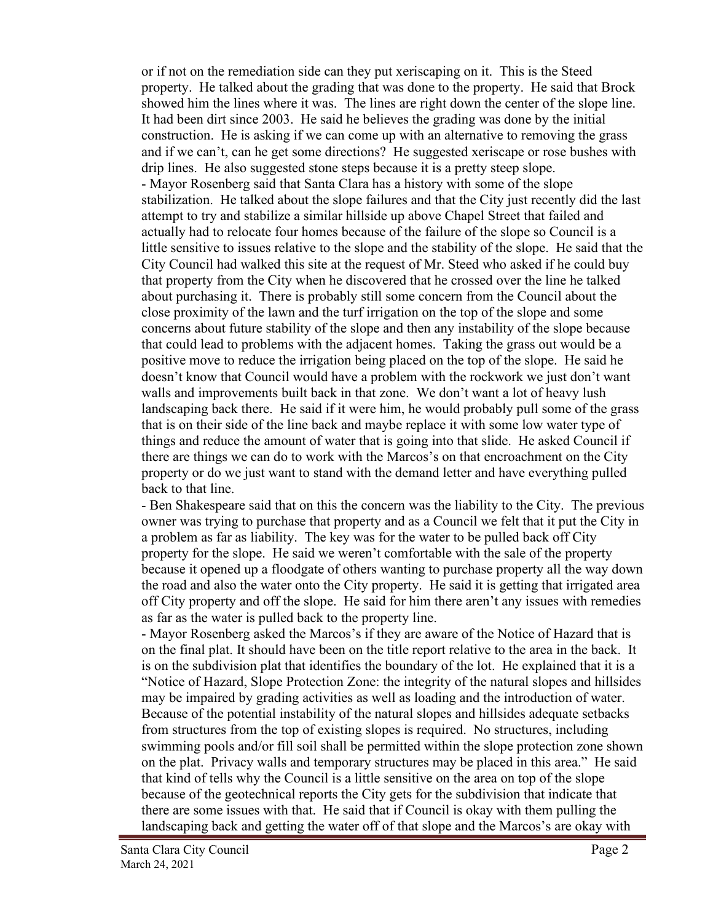or if not on the remediation side can they put xeriscaping on it. This is the Steed property. He talked about the grading that was done to the property. He said that Brock showed him the lines where it was. The lines are right down the center of the slope line. It had been dirt since 2003. He said he believes the grading was done by the initial construction. He is asking if we can come up with an alternative to removing the grass and if we can't, can he get some directions? He suggested xeriscape or rose bushes with drip lines. He also suggested stone steps because it is a pretty steep slope. - Mayor Rosenberg said that Santa Clara has a history with some of the slope stabilization. He talked about the slope failures and that the City just recently did the last attempt to try and stabilize a similar hillside up above Chapel Street that failed and actually had to relocate four homes because of the failure of the slope so Council is a little sensitive to issues relative to the slope and the stability of the slope. He said that the City Council had walked this site at the request of Mr. Steed who asked if he could buy that property from the City when he discovered that he crossed over the line he talked about purchasing it. There is probably still some concern from the Council about the close proximity of the lawn and the turf irrigation on the top of the slope and some concerns about future stability of the slope and then any instability of the slope because that could lead to problems with the adjacent homes. Taking the grass out would be a positive move to reduce the irrigation being placed on the top of the slope. He said he doesn't know that Council would have a problem with the rockwork we just don't want walls and improvements built back in that zone. We don't want a lot of heavy lush landscaping back there. He said if it were him, he would probably pull some of the grass that is on their side of the line back and maybe replace it with some low water type of things and reduce the amount of water that is going into that slide. He asked Council if there are things we can do to work with the Marcos's on that encroachment on the City property or do we just want to stand with the demand letter and have everything pulled back to that line.

- Ben Shakespeare said that on this the concern was the liability to the City. The previous owner was trying to purchase that property and as a Council we felt that it put the City in a problem as far as liability. The key was for the water to be pulled back off City property for the slope. He said we weren't comfortable with the sale of the property because it opened up a floodgate of others wanting to purchase property all the way down the road and also the water onto the City property. He said it is getting that irrigated area off City property and off the slope. He said for him there aren't any issues with remedies as far as the water is pulled back to the property line.

- Mayor Rosenberg asked the Marcos's if they are aware of the Notice of Hazard that is on the final plat. It should have been on the title report relative to the area in the back. It is on the subdivision plat that identifies the boundary of the lot. He explained that it is a "Notice of Hazard, Slope Protection Zone: the integrity of the natural slopes and hillsides may be impaired by grading activities as well as loading and the introduction of water. Because of the potential instability of the natural slopes and hillsides adequate setbacks from structures from the top of existing slopes is required. No structures, including swimming pools and/or fill soil shall be permitted within the slope protection zone shown on the plat. Privacy walls and temporary structures may be placed in this area." He said that kind of tells why the Council is a little sensitive on the area on top of the slope because of the geotechnical reports the City gets for the subdivision that indicate that there are some issues with that. He said that if Council is okay with them pulling the landscaping back and getting the water off of that slope and the Marcos's are okay with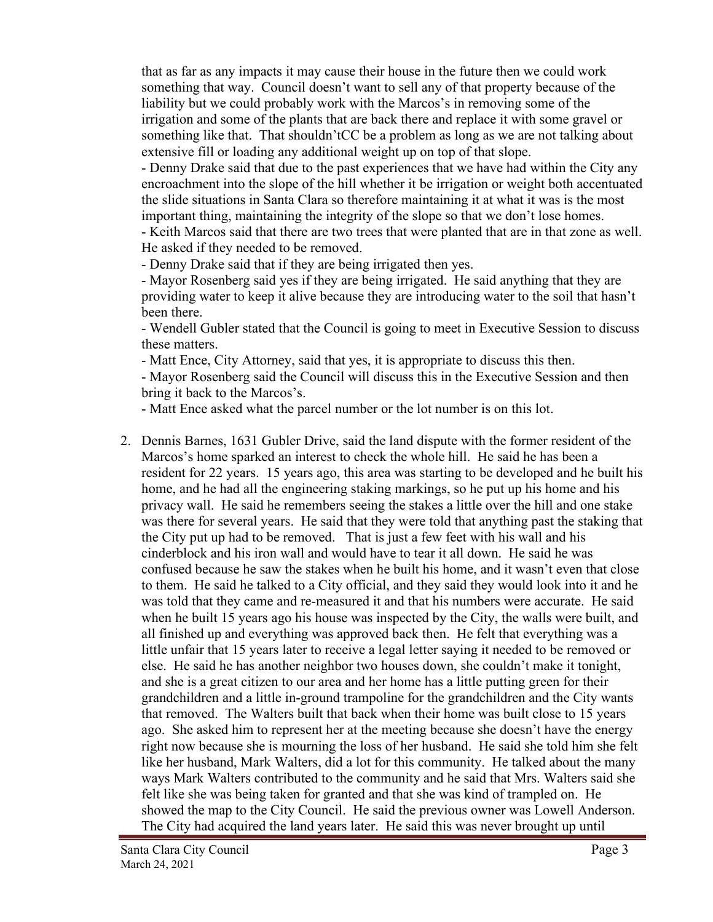that as far as any impacts it may cause their house in the future then we could work something that way. Council doesn't want to sell any of that property because of the liability but we could probably work with the Marcos's in removing some of the irrigation and some of the plants that are back there and replace it with some gravel or something like that. That shouldn'tCC be a problem as long as we are not talking about extensive fill or loading any additional weight up on top of that slope.

- Denny Drake said that due to the past experiences that we have had within the City any encroachment into the slope of the hill whether it be irrigation or weight both accentuated the slide situations in Santa Clara so therefore maintaining it at what it was is the most important thing, maintaining the integrity of the slope so that we don't lose homes.

- Keith Marcos said that there are two trees that were planted that are in that zone as well. He asked if they needed to be removed.

- Denny Drake said that if they are being irrigated then yes.

- Mayor Rosenberg said yes if they are being irrigated. He said anything that they are providing water to keep it alive because they are introducing water to the soil that hasn't been there.

- Wendell Gubler stated that the Council is going to meet in Executive Session to discuss these matters.

- Matt Ence, City Attorney, said that yes, it is appropriate to discuss this then.

- Mayor Rosenberg said the Council will discuss this in the Executive Session and then bring it back to the Marcos's.

- Matt Ence asked what the parcel number or the lot number is on this lot.

2. Dennis Barnes, 1631 Gubler Drive, said the land dispute with the former resident of the Marcos's home sparked an interest to check the whole hill. He said he has been a resident for 22 years. 15 years ago, this area was starting to be developed and he built his home, and he had all the engineering staking markings, so he put up his home and his privacy wall. He said he remembers seeing the stakes a little over the hill and one stake was there for several years. He said that they were told that anything past the staking that the City put up had to be removed. That is just a few feet with his wall and his cinderblock and his iron wall and would have to tear it all down. He said he was confused because he saw the stakes when he built his home, and it wasn't even that close to them. He said he talked to a City official, and they said they would look into it and he was told that they came and re-measured it and that his numbers were accurate. He said when he built 15 years ago his house was inspected by the City, the walls were built, and all finished up and everything was approved back then. He felt that everything was a little unfair that 15 years later to receive a legal letter saying it needed to be removed or else. He said he has another neighbor two houses down, she couldn't make it tonight, and she is a great citizen to our area and her home has a little putting green for their grandchildren and a little in-ground trampoline for the grandchildren and the City wants that removed. The Walters built that back when their home was built close to 15 years ago. She asked him to represent her at the meeting because she doesn't have the energy right now because she is mourning the loss of her husband. He said she told him she felt like her husband, Mark Walters, did a lot for this community. He talked about the many ways Mark Walters contributed to the community and he said that Mrs. Walters said she felt like she was being taken for granted and that she was kind of trampled on. He showed the map to the City Council. He said the previous owner was Lowell Anderson. The City had acquired the land years later. He said this was never brought up until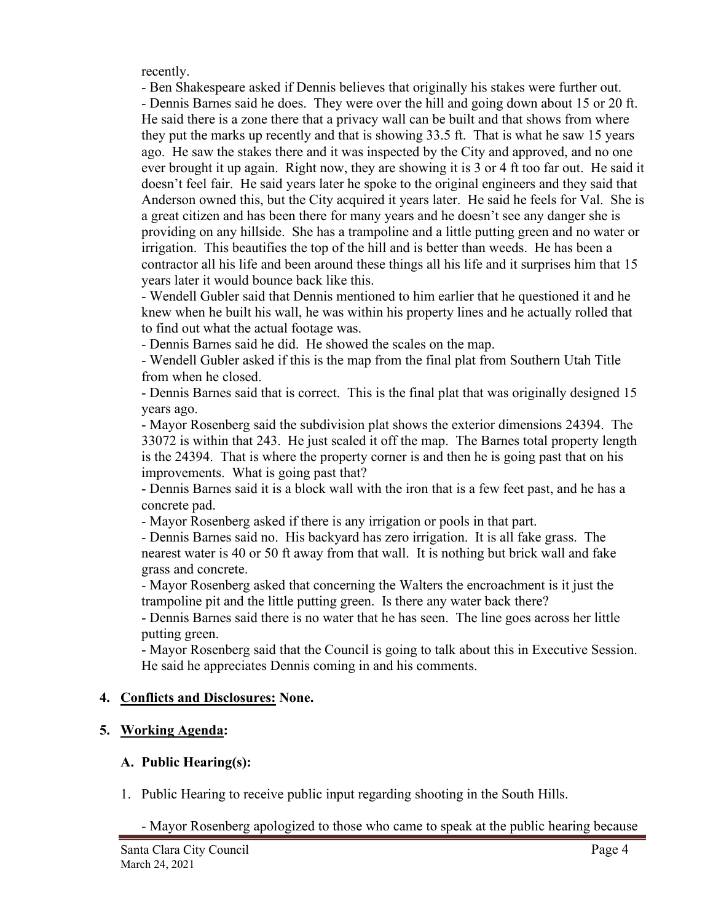recently.

- Ben Shakespeare asked if Dennis believes that originally his stakes were further out. - Dennis Barnes said he does. They were over the hill and going down about 15 or 20 ft. He said there is a zone there that a privacy wall can be built and that shows from where they put the marks up recently and that is showing 33.5 ft. That is what he saw 15 years ago. He saw the stakes there and it was inspected by the City and approved, and no one ever brought it up again. Right now, they are showing it is 3 or 4 ft too far out. He said it doesn't feel fair. He said years later he spoke to the original engineers and they said that Anderson owned this, but the City acquired it years later. He said he feels for Val. She is a great citizen and has been there for many years and he doesn't see any danger she is providing on any hillside. She has a trampoline and a little putting green and no water or irrigation. This beautifies the top of the hill and is better than weeds. He has been a contractor all his life and been around these things all his life and it surprises him that 15 years later it would bounce back like this.

- Wendell Gubler said that Dennis mentioned to him earlier that he questioned it and he knew when he built his wall, he was within his property lines and he actually rolled that to find out what the actual footage was.

- Dennis Barnes said he did. He showed the scales on the map.

- Wendell Gubler asked if this is the map from the final plat from Southern Utah Title from when he closed.

- Dennis Barnes said that is correct. This is the final plat that was originally designed 15 years ago.

- Mayor Rosenberg said the subdivision plat shows the exterior dimensions 24394. The 33072 is within that 243. He just scaled it off the map. The Barnes total property length is the 24394. That is where the property corner is and then he is going past that on his improvements. What is going past that?

- Dennis Barnes said it is a block wall with the iron that is a few feet past, and he has a concrete pad.

- Mayor Rosenberg asked if there is any irrigation or pools in that part.

- Dennis Barnes said no. His backyard has zero irrigation. It is all fake grass. The nearest water is 40 or 50 ft away from that wall. It is nothing but brick wall and fake grass and concrete.

- Mayor Rosenberg asked that concerning the Walters the encroachment is it just the trampoline pit and the little putting green. Is there any water back there?

- Dennis Barnes said there is no water that he has seen. The line goes across her little putting green.

- Mayor Rosenberg said that the Council is going to talk about this in Executive Session. He said he appreciates Dennis coming in and his comments.

# **4. Conflicts and Disclosures: None.**

# **5. Working Agenda:**

# **A. Public Hearing(s):**

1. Public Hearing to receive public input regarding shooting in the South Hills.

- Mayor Rosenberg apologized to those who came to speak at the public hearing because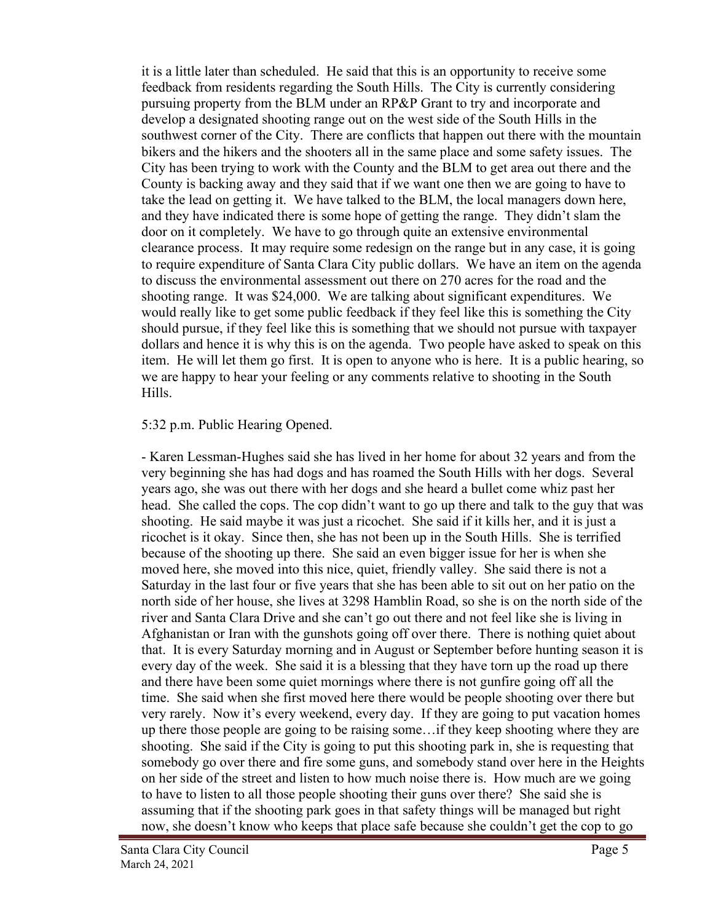it is a little later than scheduled. He said that this is an opportunity to receive some feedback from residents regarding the South Hills. The City is currently considering pursuing property from the BLM under an RP&P Grant to try and incorporate and develop a designated shooting range out on the west side of the South Hills in the southwest corner of the City. There are conflicts that happen out there with the mountain bikers and the hikers and the shooters all in the same place and some safety issues. The City has been trying to work with the County and the BLM to get area out there and the County is backing away and they said that if we want one then we are going to have to take the lead on getting it. We have talked to the BLM, the local managers down here, and they have indicated there is some hope of getting the range. They didn't slam the door on it completely. We have to go through quite an extensive environmental clearance process. It may require some redesign on the range but in any case, it is going to require expenditure of Santa Clara City public dollars. We have an item on the agenda to discuss the environmental assessment out there on 270 acres for the road and the shooting range. It was \$24,000. We are talking about significant expenditures. We would really like to get some public feedback if they feel like this is something the City should pursue, if they feel like this is something that we should not pursue with taxpayer dollars and hence it is why this is on the agenda. Two people have asked to speak on this item. He will let them go first. It is open to anyone who is here. It is a public hearing, so we are happy to hear your feeling or any comments relative to shooting in the South Hills.

#### 5:32 p.m. Public Hearing Opened.

- Karen Lessman-Hughes said she has lived in her home for about 32 years and from the very beginning she has had dogs and has roamed the South Hills with her dogs. Several years ago, she was out there with her dogs and she heard a bullet come whiz past her head. She called the cops. The cop didn't want to go up there and talk to the guy that was shooting. He said maybe it was just a ricochet. She said if it kills her, and it is just a ricochet is it okay. Since then, she has not been up in the South Hills. She is terrified because of the shooting up there. She said an even bigger issue for her is when she moved here, she moved into this nice, quiet, friendly valley. She said there is not a Saturday in the last four or five years that she has been able to sit out on her patio on the north side of her house, she lives at 3298 Hamblin Road, so she is on the north side of the river and Santa Clara Drive and she can't go out there and not feel like she is living in Afghanistan or Iran with the gunshots going off over there. There is nothing quiet about that. It is every Saturday morning and in August or September before hunting season it is every day of the week. She said it is a blessing that they have torn up the road up there and there have been some quiet mornings where there is not gunfire going off all the time. She said when she first moved here there would be people shooting over there but very rarely. Now it's every weekend, every day. If they are going to put vacation homes up there those people are going to be raising some…if they keep shooting where they are shooting. She said if the City is going to put this shooting park in, she is requesting that somebody go over there and fire some guns, and somebody stand over here in the Heights on her side of the street and listen to how much noise there is. How much are we going to have to listen to all those people shooting their guns over there? She said she is assuming that if the shooting park goes in that safety things will be managed but right now, she doesn't know who keeps that place safe because she couldn't get the cop to go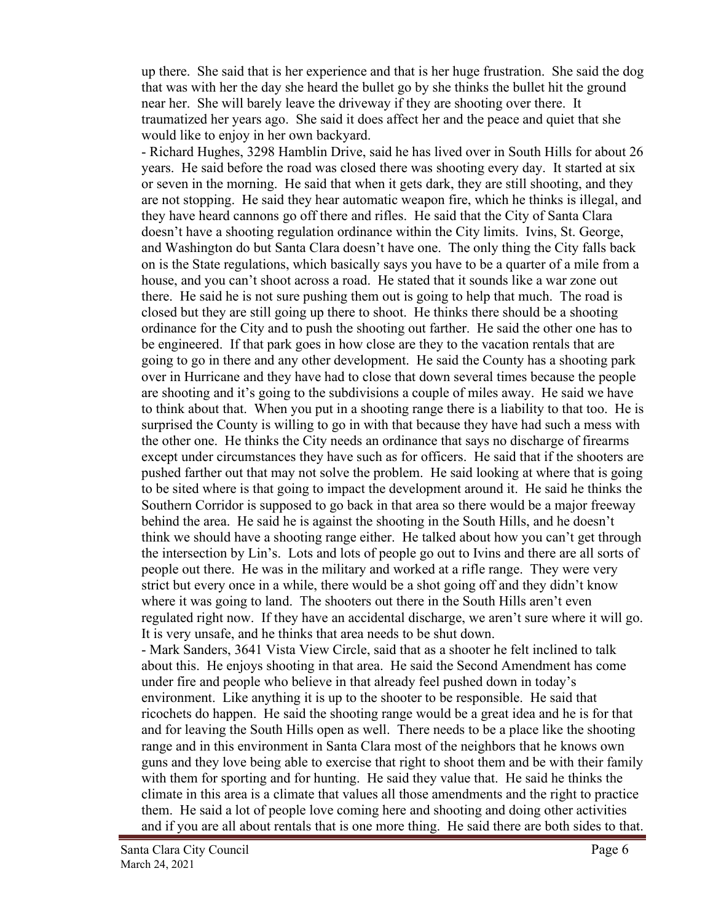up there. She said that is her experience and that is her huge frustration. She said the dog that was with her the day she heard the bullet go by she thinks the bullet hit the ground near her. She will barely leave the driveway if they are shooting over there. It traumatized her years ago. She said it does affect her and the peace and quiet that she would like to enjoy in her own backyard.

- Richard Hughes, 3298 Hamblin Drive, said he has lived over in South Hills for about 26 years. He said before the road was closed there was shooting every day. It started at six or seven in the morning. He said that when it gets dark, they are still shooting, and they are not stopping. He said they hear automatic weapon fire, which he thinks is illegal, and they have heard cannons go off there and rifles. He said that the City of Santa Clara doesn't have a shooting regulation ordinance within the City limits. Ivins, St. George, and Washington do but Santa Clara doesn't have one. The only thing the City falls back on is the State regulations, which basically says you have to be a quarter of a mile from a house, and you can't shoot across a road. He stated that it sounds like a war zone out there. He said he is not sure pushing them out is going to help that much. The road is closed but they are still going up there to shoot. He thinks there should be a shooting ordinance for the City and to push the shooting out farther. He said the other one has to be engineered. If that park goes in how close are they to the vacation rentals that are going to go in there and any other development. He said the County has a shooting park over in Hurricane and they have had to close that down several times because the people are shooting and it's going to the subdivisions a couple of miles away. He said we have to think about that. When you put in a shooting range there is a liability to that too. He is surprised the County is willing to go in with that because they have had such a mess with the other one. He thinks the City needs an ordinance that says no discharge of firearms except under circumstances they have such as for officers. He said that if the shooters are pushed farther out that may not solve the problem. He said looking at where that is going to be sited where is that going to impact the development around it. He said he thinks the Southern Corridor is supposed to go back in that area so there would be a major freeway behind the area. He said he is against the shooting in the South Hills, and he doesn't think we should have a shooting range either. He talked about how you can't get through the intersection by Lin's. Lots and lots of people go out to Ivins and there are all sorts of people out there. He was in the military and worked at a rifle range. They were very strict but every once in a while, there would be a shot going off and they didn't know where it was going to land. The shooters out there in the South Hills aren't even regulated right now. If they have an accidental discharge, we aren't sure where it will go. It is very unsafe, and he thinks that area needs to be shut down.

- Mark Sanders, 3641 Vista View Circle, said that as a shooter he felt inclined to talk about this. He enjoys shooting in that area. He said the Second Amendment has come under fire and people who believe in that already feel pushed down in today's environment. Like anything it is up to the shooter to be responsible. He said that ricochets do happen. He said the shooting range would be a great idea and he is for that and for leaving the South Hills open as well. There needs to be a place like the shooting range and in this environment in Santa Clara most of the neighbors that he knows own guns and they love being able to exercise that right to shoot them and be with their family with them for sporting and for hunting. He said they value that. He said he thinks the climate in this area is a climate that values all those amendments and the right to practice them. He said a lot of people love coming here and shooting and doing other activities and if you are all about rentals that is one more thing. He said there are both sides to that.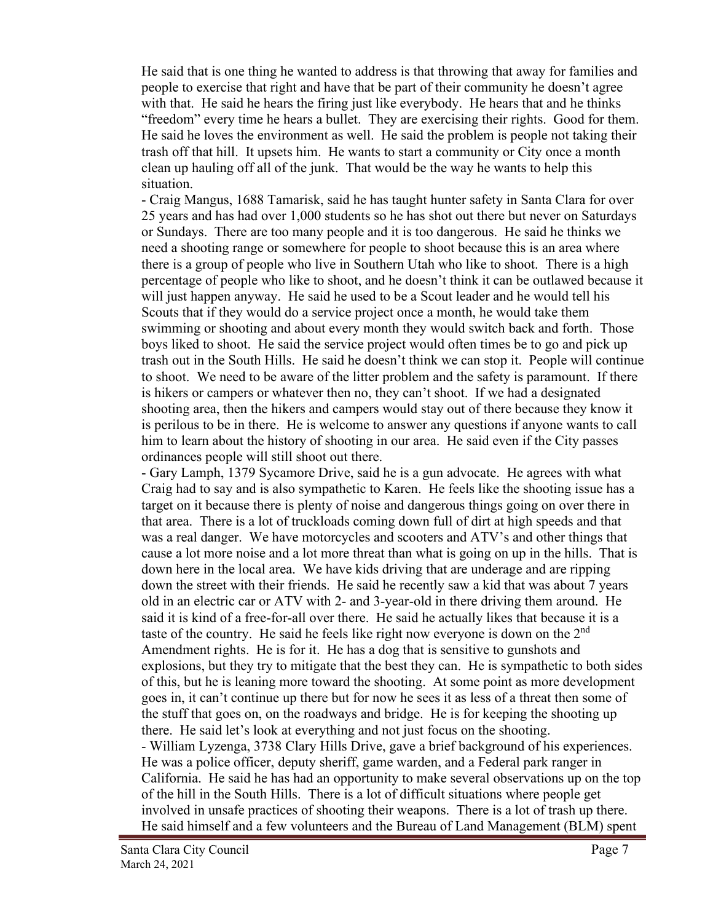He said that is one thing he wanted to address is that throwing that away for families and people to exercise that right and have that be part of their community he doesn't agree with that. He said he hears the firing just like everybody. He hears that and he thinks "freedom" every time he hears a bullet. They are exercising their rights. Good for them. He said he loves the environment as well. He said the problem is people not taking their trash off that hill. It upsets him. He wants to start a community or City once a month clean up hauling off all of the junk. That would be the way he wants to help this situation.

- Craig Mangus, 1688 Tamarisk, said he has taught hunter safety in Santa Clara for over 25 years and has had over 1,000 students so he has shot out there but never on Saturdays or Sundays. There are too many people and it is too dangerous. He said he thinks we need a shooting range or somewhere for people to shoot because this is an area where there is a group of people who live in Southern Utah who like to shoot. There is a high percentage of people who like to shoot, and he doesn't think it can be outlawed because it will just happen anyway. He said he used to be a Scout leader and he would tell his Scouts that if they would do a service project once a month, he would take them swimming or shooting and about every month they would switch back and forth. Those boys liked to shoot. He said the service project would often times be to go and pick up trash out in the South Hills. He said he doesn't think we can stop it. People will continue to shoot. We need to be aware of the litter problem and the safety is paramount. If there is hikers or campers or whatever then no, they can't shoot. If we had a designated shooting area, then the hikers and campers would stay out of there because they know it is perilous to be in there. He is welcome to answer any questions if anyone wants to call him to learn about the history of shooting in our area. He said even if the City passes ordinances people will still shoot out there.

- Gary Lamph, 1379 Sycamore Drive, said he is a gun advocate. He agrees with what Craig had to say and is also sympathetic to Karen. He feels like the shooting issue has a target on it because there is plenty of noise and dangerous things going on over there in that area. There is a lot of truckloads coming down full of dirt at high speeds and that was a real danger. We have motorcycles and scooters and ATV's and other things that cause a lot more noise and a lot more threat than what is going on up in the hills. That is down here in the local area. We have kids driving that are underage and are ripping down the street with their friends. He said he recently saw a kid that was about 7 years old in an electric car or ATV with 2- and 3-year-old in there driving them around. He said it is kind of a free-for-all over there. He said he actually likes that because it is a taste of the country. He said he feels like right now everyone is down on the 2<sup>nd</sup> Amendment rights. He is for it. He has a dog that is sensitive to gunshots and explosions, but they try to mitigate that the best they can. He is sympathetic to both sides of this, but he is leaning more toward the shooting. At some point as more development goes in, it can't continue up there but for now he sees it as less of a threat then some of the stuff that goes on, on the roadways and bridge. He is for keeping the shooting up there. He said let's look at everything and not just focus on the shooting. - William Lyzenga, 3738 Clary Hills Drive, gave a brief background of his experiences. He was a police officer, deputy sheriff, game warden, and a Federal park ranger in California. He said he has had an opportunity to make several observations up on the top of the hill in the South Hills. There is a lot of difficult situations where people get involved in unsafe practices of shooting their weapons. There is a lot of trash up there. He said himself and a few volunteers and the Bureau of Land Management (BLM) spent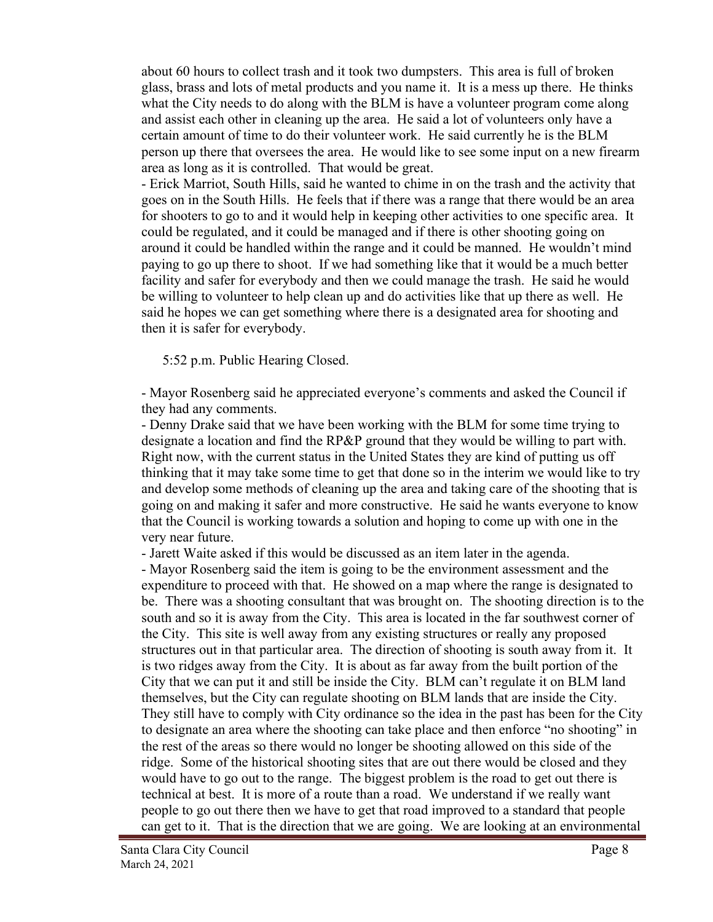about 60 hours to collect trash and it took two dumpsters. This area is full of broken glass, brass and lots of metal products and you name it. It is a mess up there. He thinks what the City needs to do along with the BLM is have a volunteer program come along and assist each other in cleaning up the area. He said a lot of volunteers only have a certain amount of time to do their volunteer work. He said currently he is the BLM person up there that oversees the area. He would like to see some input on a new firearm area as long as it is controlled. That would be great.

- Erick Marriot, South Hills, said he wanted to chime in on the trash and the activity that goes on in the South Hills. He feels that if there was a range that there would be an area for shooters to go to and it would help in keeping other activities to one specific area. It could be regulated, and it could be managed and if there is other shooting going on around it could be handled within the range and it could be manned. He wouldn't mind paying to go up there to shoot. If we had something like that it would be a much better facility and safer for everybody and then we could manage the trash. He said he would be willing to volunteer to help clean up and do activities like that up there as well. He said he hopes we can get something where there is a designated area for shooting and then it is safer for everybody.

5:52 p.m. Public Hearing Closed.

- Mayor Rosenberg said he appreciated everyone's comments and asked the Council if they had any comments.

- Denny Drake said that we have been working with the BLM for some time trying to designate a location and find the RP&P ground that they would be willing to part with. Right now, with the current status in the United States they are kind of putting us off thinking that it may take some time to get that done so in the interim we would like to try and develop some methods of cleaning up the area and taking care of the shooting that is going on and making it safer and more constructive. He said he wants everyone to know that the Council is working towards a solution and hoping to come up with one in the very near future.

- Jarett Waite asked if this would be discussed as an item later in the agenda.

- Mayor Rosenberg said the item is going to be the environment assessment and the expenditure to proceed with that. He showed on a map where the range is designated to be. There was a shooting consultant that was brought on. The shooting direction is to the south and so it is away from the City. This area is located in the far southwest corner of the City. This site is well away from any existing structures or really any proposed structures out in that particular area. The direction of shooting is south away from it. It is two ridges away from the City. It is about as far away from the built portion of the City that we can put it and still be inside the City. BLM can't regulate it on BLM land themselves, but the City can regulate shooting on BLM lands that are inside the City. They still have to comply with City ordinance so the idea in the past has been for the City to designate an area where the shooting can take place and then enforce "no shooting" in the rest of the areas so there would no longer be shooting allowed on this side of the ridge. Some of the historical shooting sites that are out there would be closed and they would have to go out to the range. The biggest problem is the road to get out there is technical at best. It is more of a route than a road. We understand if we really want people to go out there then we have to get that road improved to a standard that people can get to it. That is the direction that we are going. We are looking at an environmental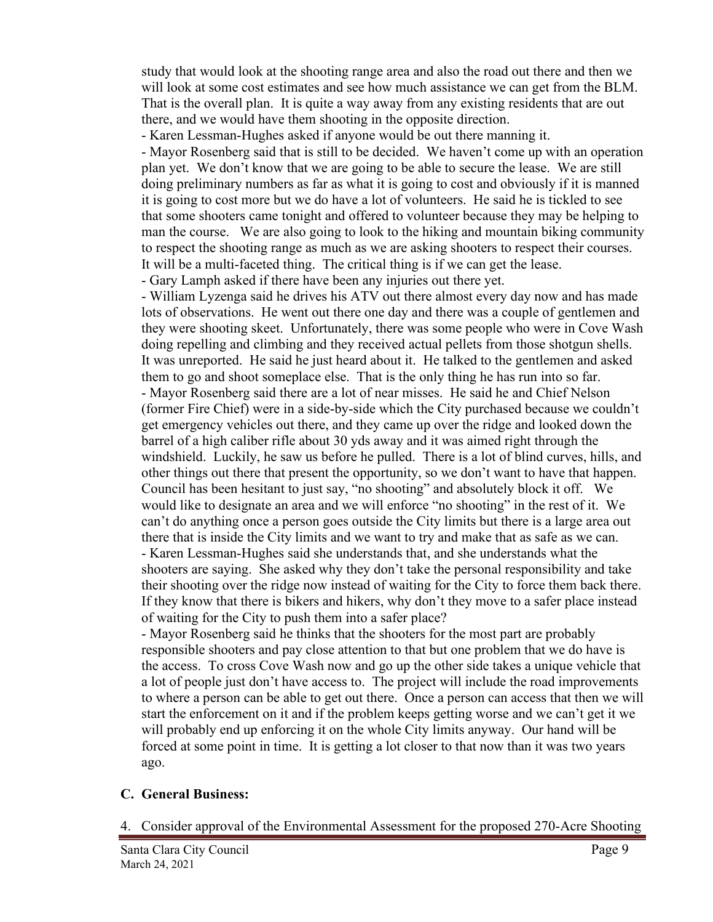study that would look at the shooting range area and also the road out there and then we will look at some cost estimates and see how much assistance we can get from the BLM. That is the overall plan. It is quite a way away from any existing residents that are out there, and we would have them shooting in the opposite direction.

- Karen Lessman-Hughes asked if anyone would be out there manning it.

- Mayor Rosenberg said that is still to be decided. We haven't come up with an operation plan yet. We don't know that we are going to be able to secure the lease. We are still doing preliminary numbers as far as what it is going to cost and obviously if it is manned it is going to cost more but we do have a lot of volunteers. He said he is tickled to see that some shooters came tonight and offered to volunteer because they may be helping to man the course. We are also going to look to the hiking and mountain biking community to respect the shooting range as much as we are asking shooters to respect their courses. It will be a multi-faceted thing. The critical thing is if we can get the lease. - Gary Lamph asked if there have been any injuries out there yet.

- William Lyzenga said he drives his ATV out there almost every day now and has made lots of observations. He went out there one day and there was a couple of gentlemen and they were shooting skeet. Unfortunately, there was some people who were in Cove Wash doing repelling and climbing and they received actual pellets from those shotgun shells. It was unreported. He said he just heard about it. He talked to the gentlemen and asked them to go and shoot someplace else. That is the only thing he has run into so far. - Mayor Rosenberg said there are a lot of near misses. He said he and Chief Nelson (former Fire Chief) were in a side-by-side which the City purchased because we couldn't get emergency vehicles out there, and they came up over the ridge and looked down the barrel of a high caliber rifle about 30 yds away and it was aimed right through the windshield. Luckily, he saw us before he pulled. There is a lot of blind curves, hills, and other things out there that present the opportunity, so we don't want to have that happen. Council has been hesitant to just say, "no shooting" and absolutely block it off. We would like to designate an area and we will enforce "no shooting" in the rest of it. We can't do anything once a person goes outside the City limits but there is a large area out there that is inside the City limits and we want to try and make that as safe as we can. - Karen Lessman-Hughes said she understands that, and she understands what the shooters are saying. She asked why they don't take the personal responsibility and take their shooting over the ridge now instead of waiting for the City to force them back there. If they know that there is bikers and hikers, why don't they move to a safer place instead of waiting for the City to push them into a safer place?

- Mayor Rosenberg said he thinks that the shooters for the most part are probably responsible shooters and pay close attention to that but one problem that we do have is the access. To cross Cove Wash now and go up the other side takes a unique vehicle that a lot of people just don't have access to. The project will include the road improvements to where a person can be able to get out there. Once a person can access that then we will start the enforcement on it and if the problem keeps getting worse and we can't get it we will probably end up enforcing it on the whole City limits anyway. Our hand will be forced at some point in time. It is getting a lot closer to that now than it was two years ago.

# **C. General Business:**

4. Consider approval of the Environmental Assessment for the proposed 270-Acre Shooting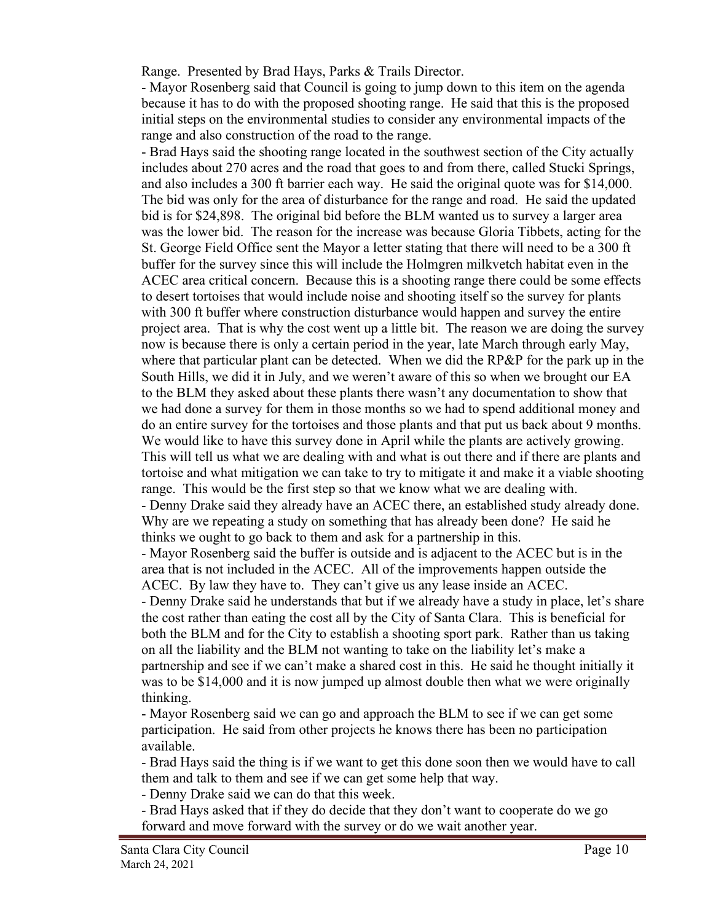Range. Presented by Brad Hays, Parks & Trails Director.

- Mayor Rosenberg said that Council is going to jump down to this item on the agenda because it has to do with the proposed shooting range. He said that this is the proposed initial steps on the environmental studies to consider any environmental impacts of the range and also construction of the road to the range.

- Brad Hays said the shooting range located in the southwest section of the City actually includes about 270 acres and the road that goes to and from there, called Stucki Springs, and also includes a 300 ft barrier each way. He said the original quote was for \$14,000. The bid was only for the area of disturbance for the range and road. He said the updated bid is for \$24,898. The original bid before the BLM wanted us to survey a larger area was the lower bid. The reason for the increase was because Gloria Tibbets, acting for the St. George Field Office sent the Mayor a letter stating that there will need to be a 300 ft buffer for the survey since this will include the Holmgren milkvetch habitat even in the ACEC area critical concern. Because this is a shooting range there could be some effects to desert tortoises that would include noise and shooting itself so the survey for plants with 300 ft buffer where construction disturbance would happen and survey the entire project area. That is why the cost went up a little bit. The reason we are doing the survey now is because there is only a certain period in the year, late March through early May, where that particular plant can be detected. When we did the RP&P for the park up in the South Hills, we did it in July, and we weren't aware of this so when we brought our EA to the BLM they asked about these plants there wasn't any documentation to show that we had done a survey for them in those months so we had to spend additional money and do an entire survey for the tortoises and those plants and that put us back about 9 months. We would like to have this survey done in April while the plants are actively growing. This will tell us what we are dealing with and what is out there and if there are plants and tortoise and what mitigation we can take to try to mitigate it and make it a viable shooting range. This would be the first step so that we know what we are dealing with. - Denny Drake said they already have an ACEC there, an established study already done. Why are we repeating a study on something that has already been done? He said he thinks we ought to go back to them and ask for a partnership in this. - Mayor Rosenberg said the buffer is outside and is adjacent to the ACEC but is in the area that is not included in the ACEC. All of the improvements happen outside the ACEC. By law they have to. They can't give us any lease inside an ACEC. - Denny Drake said he understands that but if we already have a study in place, let's share the cost rather than eating the cost all by the City of Santa Clara. This is beneficial for both the BLM and for the City to establish a shooting sport park. Rather than us taking on all the liability and the BLM not wanting to take on the liability let's make a

partnership and see if we can't make a shared cost in this. He said he thought initially it was to be \$14,000 and it is now jumped up almost double then what we were originally thinking.

- Mayor Rosenberg said we can go and approach the BLM to see if we can get some participation. He said from other projects he knows there has been no participation available.

- Brad Hays said the thing is if we want to get this done soon then we would have to call them and talk to them and see if we can get some help that way.

- Denny Drake said we can do that this week.

- Brad Hays asked that if they do decide that they don't want to cooperate do we go forward and move forward with the survey or do we wait another year.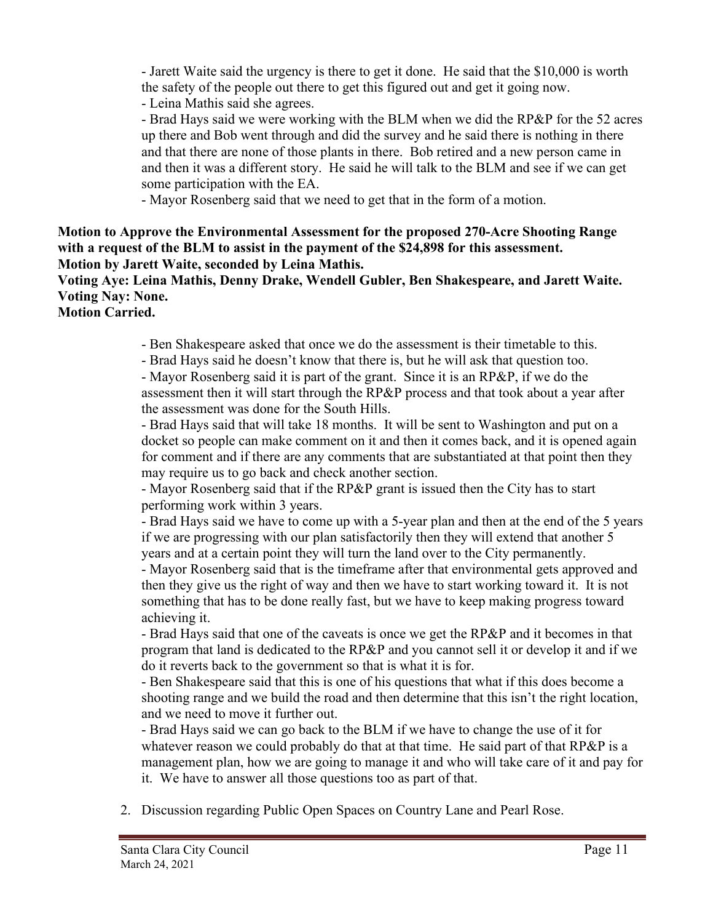- Jarett Waite said the urgency is there to get it done. He said that the \$10,000 is worth the safety of the people out there to get this figured out and get it going now.

- Leina Mathis said she agrees.

- Brad Hays said we were working with the BLM when we did the RP&P for the 52 acres up there and Bob went through and did the survey and he said there is nothing in there and that there are none of those plants in there. Bob retired and a new person came in and then it was a different story. He said he will talk to the BLM and see if we can get some participation with the EA.

- Mayor Rosenberg said that we need to get that in the form of a motion.

# **Motion to Approve the Environmental Assessment for the proposed 270-Acre Shooting Range with a request of the BLM to assist in the payment of the \$24,898 for this assessment. Motion by Jarett Waite, seconded by Leina Mathis.**

**Voting Aye: Leina Mathis, Denny Drake, Wendell Gubler, Ben Shakespeare, and Jarett Waite. Voting Nay: None.**

**Motion Carried.**

- Ben Shakespeare asked that once we do the assessment is their timetable to this.

- Brad Hays said he doesn't know that there is, but he will ask that question too.

- Mayor Rosenberg said it is part of the grant. Since it is an RP&P, if we do the assessment then it will start through the RP&P process and that took about a year after the assessment was done for the South Hills.

- Brad Hays said that will take 18 months. It will be sent to Washington and put on a docket so people can make comment on it and then it comes back, and it is opened again for comment and if there are any comments that are substantiated at that point then they may require us to go back and check another section.

- Mayor Rosenberg said that if the RP&P grant is issued then the City has to start performing work within 3 years.

- Brad Hays said we have to come up with a 5-year plan and then at the end of the 5 years if we are progressing with our plan satisfactorily then they will extend that another 5 years and at a certain point they will turn the land over to the City permanently.

- Mayor Rosenberg said that is the timeframe after that environmental gets approved and then they give us the right of way and then we have to start working toward it. It is not something that has to be done really fast, but we have to keep making progress toward achieving it.

- Brad Hays said that one of the caveats is once we get the RP&P and it becomes in that program that land is dedicated to the RP&P and you cannot sell it or develop it and if we do it reverts back to the government so that is what it is for.

- Ben Shakespeare said that this is one of his questions that what if this does become a shooting range and we build the road and then determine that this isn't the right location, and we need to move it further out.

- Brad Hays said we can go back to the BLM if we have to change the use of it for whatever reason we could probably do that at that time. He said part of that RP&P is a management plan, how we are going to manage it and who will take care of it and pay for it. We have to answer all those questions too as part of that.

2. Discussion regarding Public Open Spaces on Country Lane and Pearl Rose.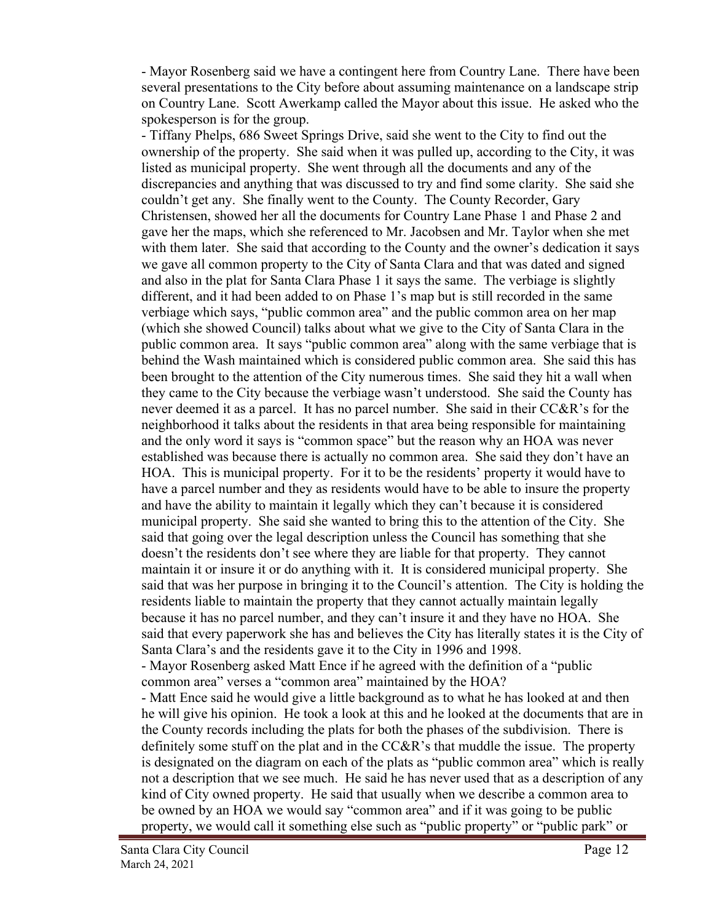- Mayor Rosenberg said we have a contingent here from Country Lane. There have been several presentations to the City before about assuming maintenance on a landscape strip on Country Lane. Scott Awerkamp called the Mayor about this issue. He asked who the spokesperson is for the group.

- Tiffany Phelps, 686 Sweet Springs Drive, said she went to the City to find out the ownership of the property. She said when it was pulled up, according to the City, it was listed as municipal property. She went through all the documents and any of the discrepancies and anything that was discussed to try and find some clarity. She said she couldn't get any. She finally went to the County. The County Recorder, Gary Christensen, showed her all the documents for Country Lane Phase 1 and Phase 2 and gave her the maps, which she referenced to Mr. Jacobsen and Mr. Taylor when she met with them later. She said that according to the County and the owner's dedication it says we gave all common property to the City of Santa Clara and that was dated and signed and also in the plat for Santa Clara Phase 1 it says the same. The verbiage is slightly different, and it had been added to on Phase 1's map but is still recorded in the same verbiage which says, "public common area" and the public common area on her map (which she showed Council) talks about what we give to the City of Santa Clara in the public common area. It says "public common area" along with the same verbiage that is behind the Wash maintained which is considered public common area. She said this has been brought to the attention of the City numerous times. She said they hit a wall when they came to the City because the verbiage wasn't understood. She said the County has never deemed it as a parcel. It has no parcel number. She said in their CC&R's for the neighborhood it talks about the residents in that area being responsible for maintaining and the only word it says is "common space" but the reason why an HOA was never established was because there is actually no common area. She said they don't have an HOA. This is municipal property. For it to be the residents' property it would have to have a parcel number and they as residents would have to be able to insure the property and have the ability to maintain it legally which they can't because it is considered municipal property. She said she wanted to bring this to the attention of the City. She said that going over the legal description unless the Council has something that she doesn't the residents don't see where they are liable for that property. They cannot maintain it or insure it or do anything with it. It is considered municipal property. She said that was her purpose in bringing it to the Council's attention. The City is holding the residents liable to maintain the property that they cannot actually maintain legally because it has no parcel number, and they can't insure it and they have no HOA. She said that every paperwork she has and believes the City has literally states it is the City of Santa Clara's and the residents gave it to the City in 1996 and 1998. - Mayor Rosenberg asked Matt Ence if he agreed with the definition of a "public common area" verses a "common area" maintained by the HOA? - Matt Ence said he would give a little background as to what he has looked at and then he will give his opinion. He took a look at this and he looked at the documents that are in the County records including the plats for both the phases of the subdivision. There is definitely some stuff on the plat and in the CC&R's that muddle the issue. The property is designated on the diagram on each of the plats as "public common area" which is really not a description that we see much. He said he has never used that as a description of any kind of City owned property. He said that usually when we describe a common area to be owned by an HOA we would say "common area" and if it was going to be public

property, we would call it something else such as "public property" or "public park" or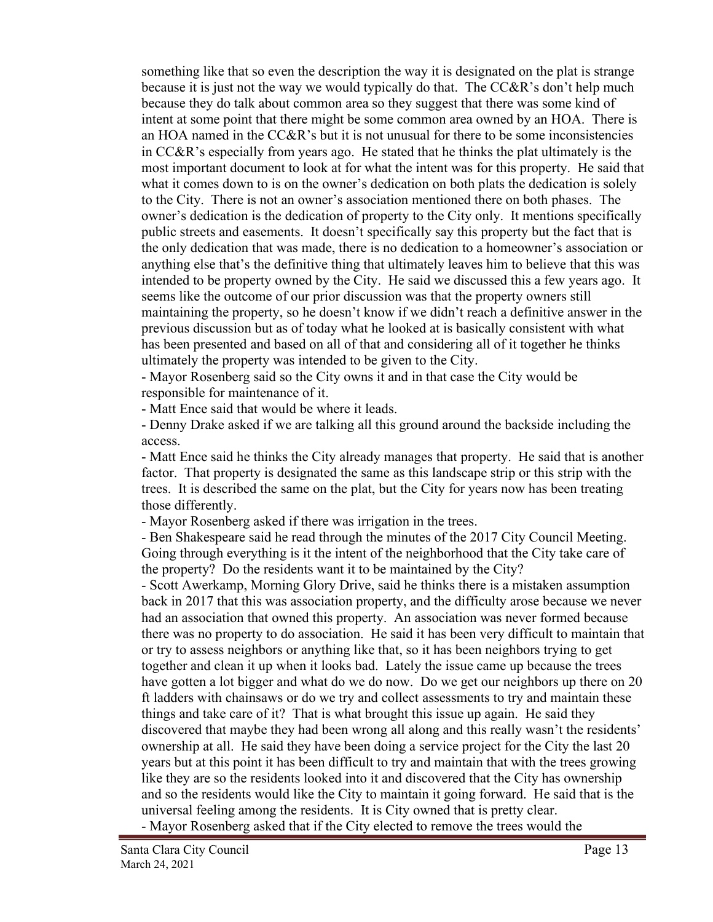something like that so even the description the way it is designated on the plat is strange because it is just not the way we would typically do that. The CC&R's don't help much because they do talk about common area so they suggest that there was some kind of intent at some point that there might be some common area owned by an HOA. There is an HOA named in the CC&R's but it is not unusual for there to be some inconsistencies in CC&R's especially from years ago. He stated that he thinks the plat ultimately is the most important document to look at for what the intent was for this property. He said that what it comes down to is on the owner's dedication on both plats the dedication is solely to the City. There is not an owner's association mentioned there on both phases. The owner's dedication is the dedication of property to the City only. It mentions specifically public streets and easements. It doesn't specifically say this property but the fact that is the only dedication that was made, there is no dedication to a homeowner's association or anything else that's the definitive thing that ultimately leaves him to believe that this was intended to be property owned by the City. He said we discussed this a few years ago. It seems like the outcome of our prior discussion was that the property owners still maintaining the property, so he doesn't know if we didn't reach a definitive answer in the previous discussion but as of today what he looked at is basically consistent with what has been presented and based on all of that and considering all of it together he thinks ultimately the property was intended to be given to the City.

- Mayor Rosenberg said so the City owns it and in that case the City would be responsible for maintenance of it.

- Matt Ence said that would be where it leads.

- Denny Drake asked if we are talking all this ground around the backside including the access.

- Matt Ence said he thinks the City already manages that property. He said that is another factor. That property is designated the same as this landscape strip or this strip with the trees. It is described the same on the plat, but the City for years now has been treating those differently.

- Mayor Rosenberg asked if there was irrigation in the trees.

- Ben Shakespeare said he read through the minutes of the 2017 City Council Meeting. Going through everything is it the intent of the neighborhood that the City take care of the property? Do the residents want it to be maintained by the City?

- Scott Awerkamp, Morning Glory Drive, said he thinks there is a mistaken assumption back in 2017 that this was association property, and the difficulty arose because we never had an association that owned this property. An association was never formed because there was no property to do association. He said it has been very difficult to maintain that or try to assess neighbors or anything like that, so it has been neighbors trying to get together and clean it up when it looks bad. Lately the issue came up because the trees have gotten a lot bigger and what do we do now. Do we get our neighbors up there on 20 ft ladders with chainsaws or do we try and collect assessments to try and maintain these things and take care of it? That is what brought this issue up again. He said they discovered that maybe they had been wrong all along and this really wasn't the residents' ownership at all. He said they have been doing a service project for the City the last 20 years but at this point it has been difficult to try and maintain that with the trees growing like they are so the residents looked into it and discovered that the City has ownership and so the residents would like the City to maintain it going forward. He said that is the universal feeling among the residents. It is City owned that is pretty clear.

- Mayor Rosenberg asked that if the City elected to remove the trees would the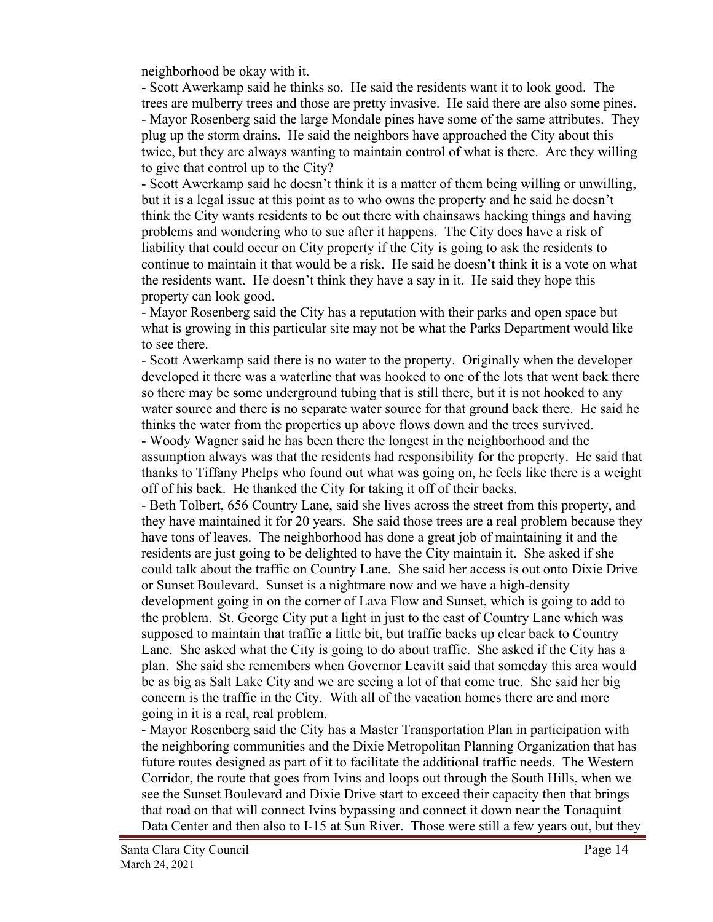neighborhood be okay with it.

- Scott Awerkamp said he thinks so. He said the residents want it to look good. The trees are mulberry trees and those are pretty invasive. He said there are also some pines. - Mayor Rosenberg said the large Mondale pines have some of the same attributes. They plug up the storm drains. He said the neighbors have approached the City about this twice, but they are always wanting to maintain control of what is there. Are they willing to give that control up to the City?

- Scott Awerkamp said he doesn't think it is a matter of them being willing or unwilling, but it is a legal issue at this point as to who owns the property and he said he doesn't think the City wants residents to be out there with chainsaws hacking things and having problems and wondering who to sue after it happens. The City does have a risk of liability that could occur on City property if the City is going to ask the residents to continue to maintain it that would be a risk. He said he doesn't think it is a vote on what the residents want. He doesn't think they have a say in it. He said they hope this property can look good.

- Mayor Rosenberg said the City has a reputation with their parks and open space but what is growing in this particular site may not be what the Parks Department would like to see there.

- Scott Awerkamp said there is no water to the property. Originally when the developer developed it there was a waterline that was hooked to one of the lots that went back there so there may be some underground tubing that is still there, but it is not hooked to any water source and there is no separate water source for that ground back there. He said he thinks the water from the properties up above flows down and the trees survived.

- Woody Wagner said he has been there the longest in the neighborhood and the assumption always was that the residents had responsibility for the property. He said that thanks to Tiffany Phelps who found out what was going on, he feels like there is a weight off of his back. He thanked the City for taking it off of their backs.

- Beth Tolbert, 656 Country Lane, said she lives across the street from this property, and they have maintained it for 20 years. She said those trees are a real problem because they have tons of leaves. The neighborhood has done a great job of maintaining it and the residents are just going to be delighted to have the City maintain it. She asked if she could talk about the traffic on Country Lane. She said her access is out onto Dixie Drive or Sunset Boulevard. Sunset is a nightmare now and we have a high-density development going in on the corner of Lava Flow and Sunset, which is going to add to the problem. St. George City put a light in just to the east of Country Lane which was supposed to maintain that traffic a little bit, but traffic backs up clear back to Country Lane. She asked what the City is going to do about traffic. She asked if the City has a plan. She said she remembers when Governor Leavitt said that someday this area would be as big as Salt Lake City and we are seeing a lot of that come true. She said her big concern is the traffic in the City. With all of the vacation homes there are and more going in it is a real, real problem.

- Mayor Rosenberg said the City has a Master Transportation Plan in participation with the neighboring communities and the Dixie Metropolitan Planning Organization that has future routes designed as part of it to facilitate the additional traffic needs. The Western Corridor, the route that goes from Ivins and loops out through the South Hills, when we see the Sunset Boulevard and Dixie Drive start to exceed their capacity then that brings that road on that will connect Ivins bypassing and connect it down near the Tonaquint Data Center and then also to I-15 at Sun River. Those were still a few years out, but they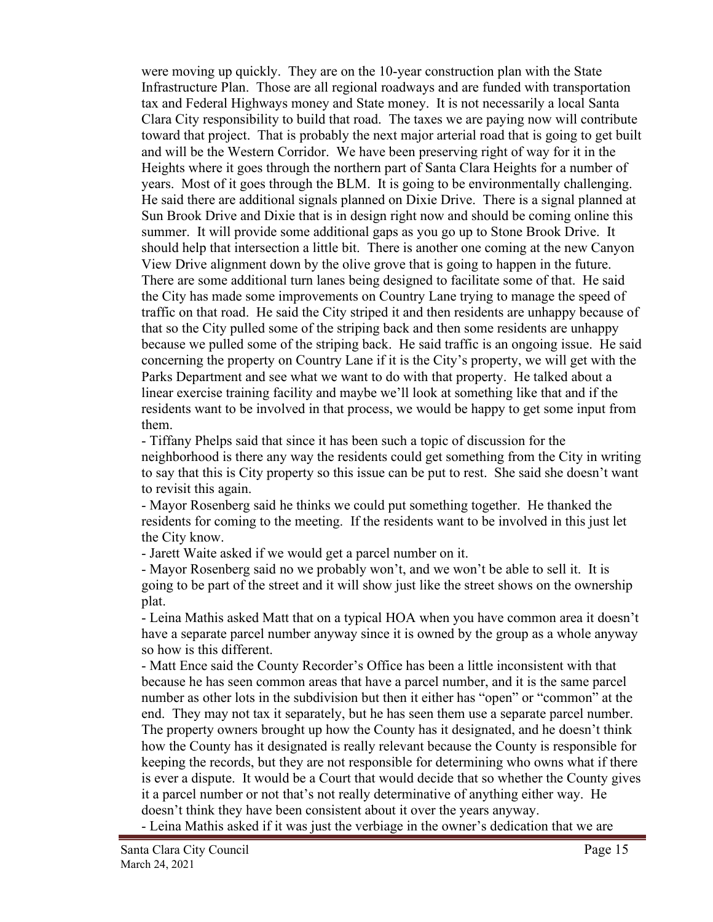were moving up quickly. They are on the 10-year construction plan with the State Infrastructure Plan. Those are all regional roadways and are funded with transportation tax and Federal Highways money and State money. It is not necessarily a local Santa Clara City responsibility to build that road. The taxes we are paying now will contribute toward that project. That is probably the next major arterial road that is going to get built and will be the Western Corridor. We have been preserving right of way for it in the Heights where it goes through the northern part of Santa Clara Heights for a number of years. Most of it goes through the BLM. It is going to be environmentally challenging. He said there are additional signals planned on Dixie Drive. There is a signal planned at Sun Brook Drive and Dixie that is in design right now and should be coming online this summer. It will provide some additional gaps as you go up to Stone Brook Drive. It should help that intersection a little bit. There is another one coming at the new Canyon View Drive alignment down by the olive grove that is going to happen in the future. There are some additional turn lanes being designed to facilitate some of that. He said the City has made some improvements on Country Lane trying to manage the speed of traffic on that road. He said the City striped it and then residents are unhappy because of that so the City pulled some of the striping back and then some residents are unhappy because we pulled some of the striping back. He said traffic is an ongoing issue. He said concerning the property on Country Lane if it is the City's property, we will get with the Parks Department and see what we want to do with that property. He talked about a linear exercise training facility and maybe we'll look at something like that and if the residents want to be involved in that process, we would be happy to get some input from them.

- Tiffany Phelps said that since it has been such a topic of discussion for the neighborhood is there any way the residents could get something from the City in writing to say that this is City property so this issue can be put to rest. She said she doesn't want to revisit this again.

- Mayor Rosenberg said he thinks we could put something together. He thanked the residents for coming to the meeting. If the residents want to be involved in this just let the City know.

- Jarett Waite asked if we would get a parcel number on it.

- Mayor Rosenberg said no we probably won't, and we won't be able to sell it. It is going to be part of the street and it will show just like the street shows on the ownership plat.

- Leina Mathis asked Matt that on a typical HOA when you have common area it doesn't have a separate parcel number anyway since it is owned by the group as a whole anyway so how is this different.

- Matt Ence said the County Recorder's Office has been a little inconsistent with that because he has seen common areas that have a parcel number, and it is the same parcel number as other lots in the subdivision but then it either has "open" or "common" at the end. They may not tax it separately, but he has seen them use a separate parcel number. The property owners brought up how the County has it designated, and he doesn't think how the County has it designated is really relevant because the County is responsible for keeping the records, but they are not responsible for determining who owns what if there is ever a dispute. It would be a Court that would decide that so whether the County gives it a parcel number or not that's not really determinative of anything either way. He doesn't think they have been consistent about it over the years anyway.

- Leina Mathis asked if it was just the verbiage in the owner's dedication that we are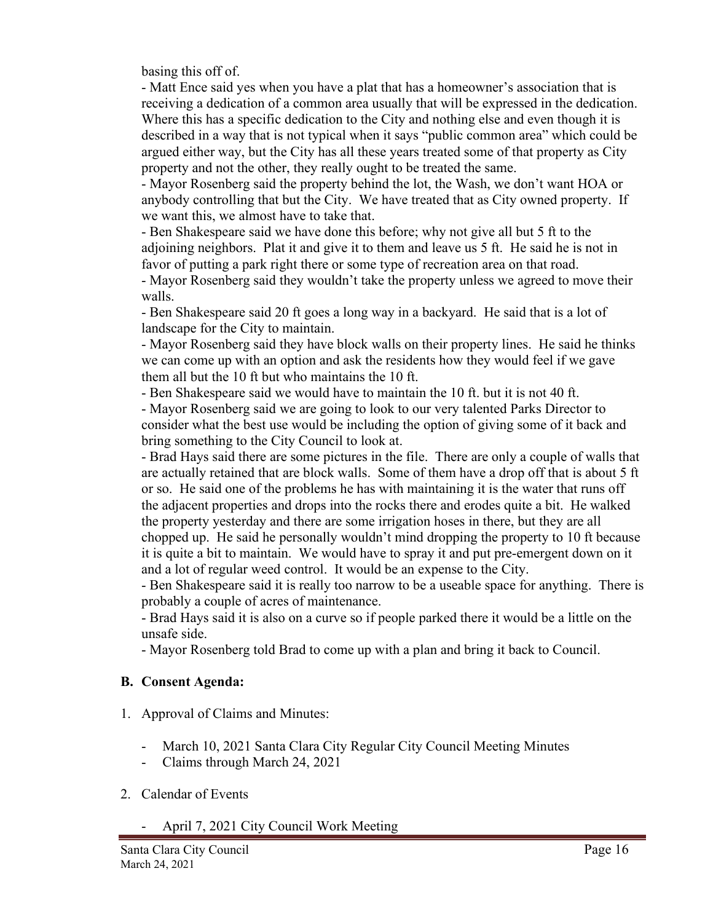basing this off of.

- Matt Ence said yes when you have a plat that has a homeowner's association that is receiving a dedication of a common area usually that will be expressed in the dedication. Where this has a specific dedication to the City and nothing else and even though it is described in a way that is not typical when it says "public common area" which could be argued either way, but the City has all these years treated some of that property as City property and not the other, they really ought to be treated the same.

- Mayor Rosenberg said the property behind the lot, the Wash, we don't want HOA or anybody controlling that but the City. We have treated that as City owned property. If we want this, we almost have to take that.

- Ben Shakespeare said we have done this before; why not give all but 5 ft to the adjoining neighbors. Plat it and give it to them and leave us 5 ft. He said he is not in favor of putting a park right there or some type of recreation area on that road.

- Mayor Rosenberg said they wouldn't take the property unless we agreed to move their walls.

- Ben Shakespeare said 20 ft goes a long way in a backyard. He said that is a lot of landscape for the City to maintain.

- Mayor Rosenberg said they have block walls on their property lines. He said he thinks we can come up with an option and ask the residents how they would feel if we gave them all but the 10 ft but who maintains the 10 ft.

- Ben Shakespeare said we would have to maintain the 10 ft. but it is not 40 ft.

- Mayor Rosenberg said we are going to look to our very talented Parks Director to consider what the best use would be including the option of giving some of it back and bring something to the City Council to look at.

- Brad Hays said there are some pictures in the file. There are only a couple of walls that are actually retained that are block walls. Some of them have a drop off that is about 5 ft or so. He said one of the problems he has with maintaining it is the water that runs off the adjacent properties and drops into the rocks there and erodes quite a bit. He walked the property yesterday and there are some irrigation hoses in there, but they are all chopped up. He said he personally wouldn't mind dropping the property to 10 ft because it is quite a bit to maintain. We would have to spray it and put pre-emergent down on it and a lot of regular weed control. It would be an expense to the City.

- Ben Shakespeare said it is really too narrow to be a useable space for anything. There is probably a couple of acres of maintenance.

- Brad Hays said it is also on a curve so if people parked there it would be a little on the unsafe side.

- Mayor Rosenberg told Brad to come up with a plan and bring it back to Council.

#### **B. Consent Agenda:**

- 1. Approval of Claims and Minutes:
	- March 10, 2021 Santa Clara City Regular City Council Meeting Minutes
	- Claims through March 24, 2021
- 2. Calendar of Events
	- April 7, 2021 City Council Work Meeting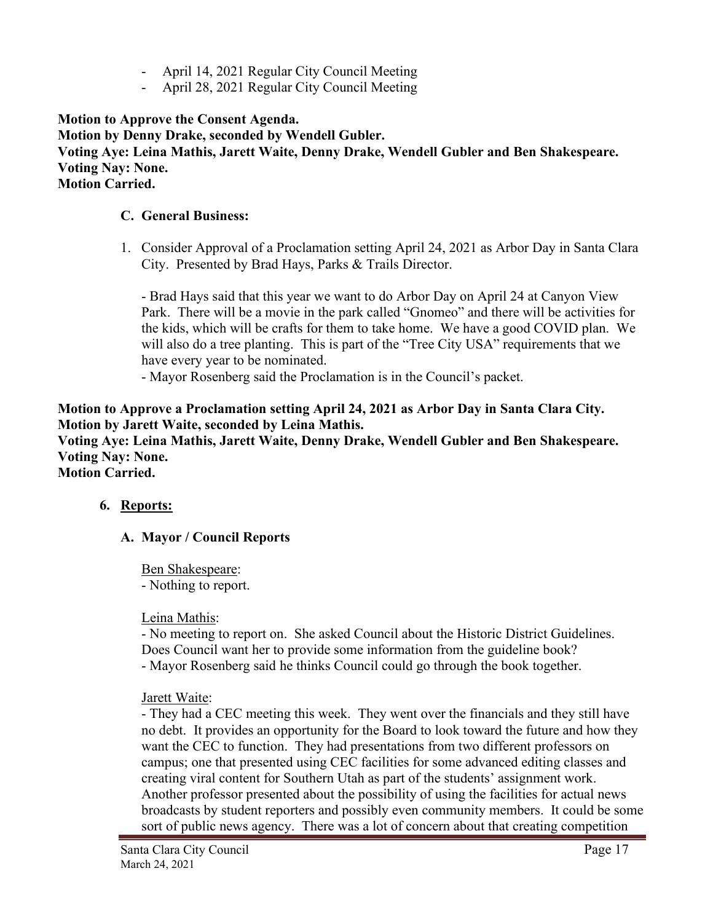- April 14, 2021 Regular City Council Meeting
- April 28, 2021 Regular City Council Meeting

**Motion to Approve the Consent Agenda. Motion by Denny Drake, seconded by Wendell Gubler. Voting Aye: Leina Mathis, Jarett Waite, Denny Drake, Wendell Gubler and Ben Shakespeare. Voting Nay: None. Motion Carried.**

#### **C. General Business:**

1. Consider Approval of a Proclamation setting April 24, 2021 as Arbor Day in Santa Clara City. Presented by Brad Hays, Parks & Trails Director.

- Brad Hays said that this year we want to do Arbor Day on April 24 at Canyon View Park. There will be a movie in the park called "Gnomeo" and there will be activities for the kids, which will be crafts for them to take home. We have a good COVID plan. We will also do a tree planting. This is part of the "Tree City USA" requirements that we have every year to be nominated.

- Mayor Rosenberg said the Proclamation is in the Council's packet.

**Motion to Approve a Proclamation setting April 24, 2021 as Arbor Day in Santa Clara City. Motion by Jarett Waite, seconded by Leina Mathis. Voting Aye: Leina Mathis, Jarett Waite, Denny Drake, Wendell Gubler and Ben Shakespeare. Voting Nay: None.**

**Motion Carried.**

#### **6. Reports:**

#### **A. Mayor / Council Reports**

Ben Shakespeare: - Nothing to report.

#### Leina Mathis:

- No meeting to report on. She asked Council about the Historic District Guidelines. Does Council want her to provide some information from the guideline book? - Mayor Rosenberg said he thinks Council could go through the book together.

#### Jarett Waite:

- They had a CEC meeting this week. They went over the financials and they still have no debt. It provides an opportunity for the Board to look toward the future and how they want the CEC to function. They had presentations from two different professors on campus; one that presented using CEC facilities for some advanced editing classes and creating viral content for Southern Utah as part of the students' assignment work. Another professor presented about the possibility of using the facilities for actual news broadcasts by student reporters and possibly even community members. It could be some sort of public news agency. There was a lot of concern about that creating competition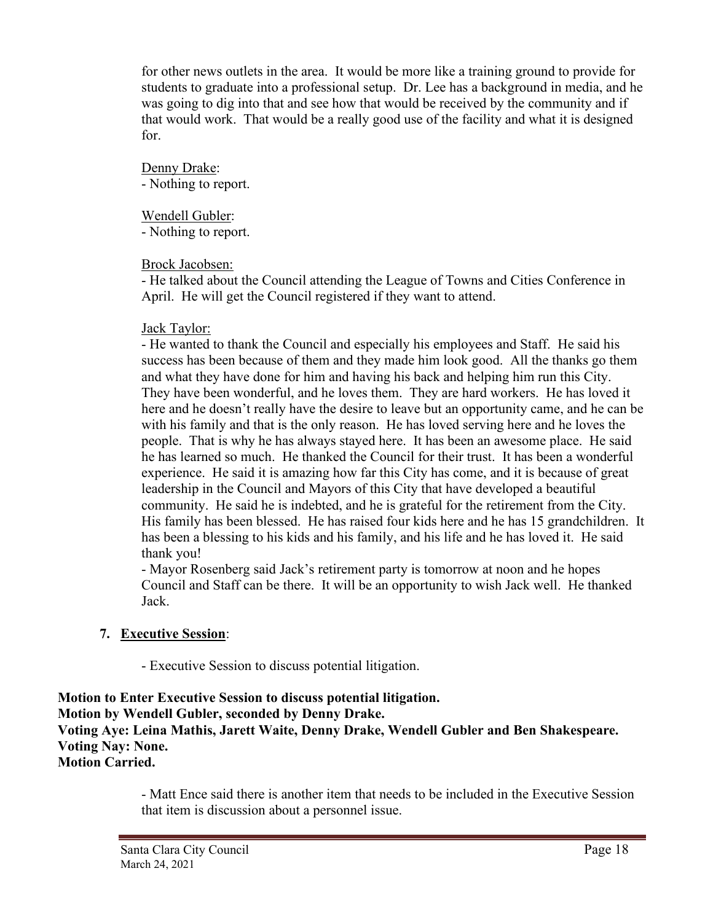for other news outlets in the area. It would be more like a training ground to provide for students to graduate into a professional setup. Dr. Lee has a background in media, and he was going to dig into that and see how that would be received by the community and if that would work. That would be a really good use of the facility and what it is designed for.

Denny Drake: - Nothing to report.

Wendell Gubler:

- Nothing to report.

### Brock Jacobsen:

- He talked about the Council attending the League of Towns and Cities Conference in April. He will get the Council registered if they want to attend.

### Jack Taylor:

- He wanted to thank the Council and especially his employees and Staff. He said his success has been because of them and they made him look good. All the thanks go them and what they have done for him and having his back and helping him run this City. They have been wonderful, and he loves them. They are hard workers. He has loved it here and he doesn't really have the desire to leave but an opportunity came, and he can be with his family and that is the only reason. He has loved serving here and he loves the people. That is why he has always stayed here. It has been an awesome place. He said he has learned so much. He thanked the Council for their trust. It has been a wonderful experience. He said it is amazing how far this City has come, and it is because of great leadership in the Council and Mayors of this City that have developed a beautiful community. He said he is indebted, and he is grateful for the retirement from the City. His family has been blessed. He has raised four kids here and he has 15 grandchildren. It has been a blessing to his kids and his family, and his life and he has loved it. He said thank you!

- Mayor Rosenberg said Jack's retirement party is tomorrow at noon and he hopes Council and Staff can be there. It will be an opportunity to wish Jack well. He thanked Jack.

# **7. Executive Session**:

- Executive Session to discuss potential litigation.

**Motion to Enter Executive Session to discuss potential litigation. Motion by Wendell Gubler, seconded by Denny Drake. Voting Aye: Leina Mathis, Jarett Waite, Denny Drake, Wendell Gubler and Ben Shakespeare. Voting Nay: None. Motion Carried.**

> - Matt Ence said there is another item that needs to be included in the Executive Session that item is discussion about a personnel issue.